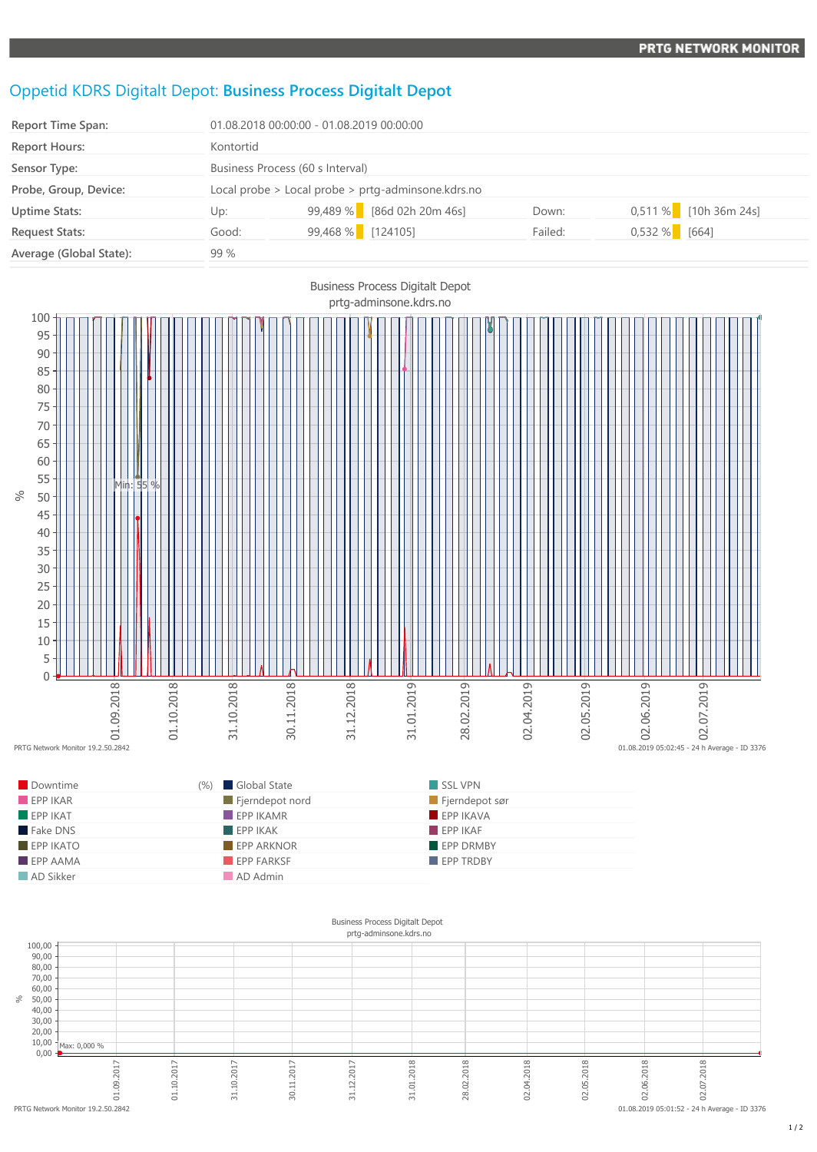## Oppetid KDRS Digitalt Depot: **Business Process Digitalt Depot**

| Report Time Span:       | 01.08.2018 00:00:00 - 01.08.2019 00:00:00          |                            |         |                         |
|-------------------------|----------------------------------------------------|----------------------------|---------|-------------------------|
| <b>Report Hours:</b>    | Kontortid                                          |                            |         |                         |
| Sensor Type:            | Business Process (60 s Interval)                   |                            |         |                         |
| Probe, Group, Device:   | Local probe > Local probe > prtg-adminsone.kdrs.no |                            |         |                         |
| <b>Uptime Stats:</b>    | Up:                                                | 99,489 % [86d 02h 20m 46s] | Down:   | $0,511\%$ [10h 36m 24s] |
| <b>Request Stats:</b>   | Good:                                              | 99,468 % [124105]          | Failed: | $0,532\%$ [664]         |
| Average (Global State): | 99 %                                               |                            |         |                         |



| Downtime    | (%) Global State        | SSL VPN                 |
|-------------|-------------------------|-------------------------|
| EPPIKAR     | Fjerndepot nord         | Fjerndepot sør          |
| EPPIKAT     | $EPP$ IKAMR             | EPP IKAVA               |
| Fake DNS    | $\blacksquare$ EPP IKAK | $\blacksquare$ EPP IKAF |
| $EPP$ IKATO | <b>EPP ARKNOR</b>       | <b>EPP DRMBY</b>        |
| $EPP$ AAMA  | EPP FARKSF              | <b>FPP TRDBY</b>        |
| AD Sikker   | AD Admin                |                         |